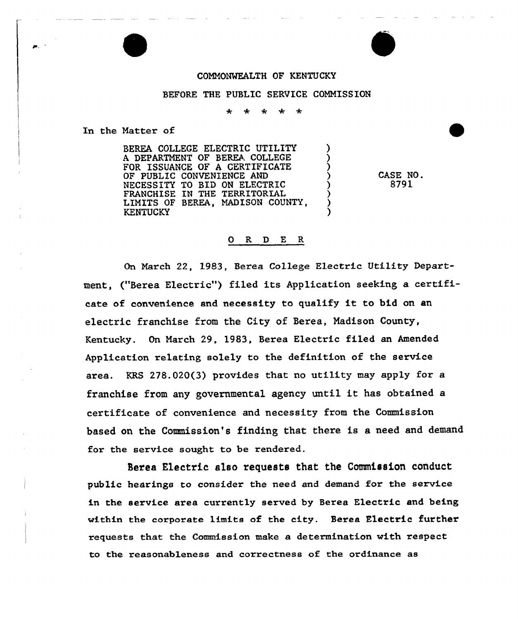## COMMONWEALTH OF KENTUCKY

## BEFORE THE PUBLIC SERVICE COMMISSION

In the Matter of

BEREA COLLEGE ELECTRIC UTILITY A DEPARTMENT OF BEREA COLLEGE FOR ISSUANCE OF A CERTIFICATE OF PUBLIC CONVENIENCE AND NECESSITY TO BID ON ELECTRIC FRANCHISE IN THE TERRITORIAL LIMITS OF BEREA, MADISON COUNTY, KENTUCKY

CASE NO. 8791

## O R D E R

On March 22, 1983, Berea College Electric Utility Depaxtment, ("Berea Electric") filed its Application seeking a certificate of convenience and necessity to qualify it to bid on an electric franchise from the City of Berea, Madison County, Kentucky. On March 29, 1983, Berea Electxic filed an Amended Application relating solely to the definition of the service area. KRS 278.020(3) provides that no utility may apply for a franchise from any governmental agency until it has obtained <sup>a</sup> certificate of convenience and necessity from the Commission based on the Commission's finding that there is a need and demand for the service sought to be rendered.

Serea Electric also requests that the Commission conduct public hearings to consider the need and demand for the service in the service area currently served by Berea Electric and being within the coxpozate limits of the city. Berea Electric further requests that the Commission make a determination with respect to the reasonableness and correctness of the ordinance as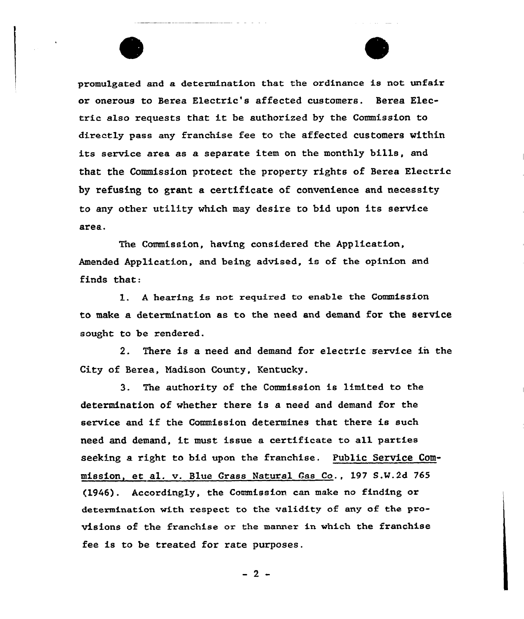promulgated and a determination that the ordinance is not unfair or onerous to Bexea Electxic's affected customers. Berea Electric also requests that it be authorized by the Commission to directly pass any franchise fee to the affected customers within its service area as a separate item on the monthly bills, and that the Commission protect the property rights of Berea Electric by refusing to grant a certificate of convenience and necessity to any other utility vhich may desire to bid upon its service area.

The Commission, having considered the Application, Amended Application, and being advised, is of the opinion and finds that:

1. <sup>A</sup> hearing is not required to enable the Commission to make a determination as to the need and demand, for the service sought to be rendered.

2. There is a need and demand for electric service in the City of Berea, Madison County, Kentucky.

3. The authority of the Commission is limited to the determination of whether there is a need and demand for the service and if the Commission determines that there is such need and demand, it must issue <sup>a</sup> certificate to all parties seeking a right to bid upon the franchise. Public Service Commission, et al. v. Blue Crass Natural 4as Co., 197 S.W.2d 765 (1946}. Accordingly, the Commission can make no finding or determination with respect to the validity of any of the provisions of the franchise or the manner in which the franchise fee is to be treated for rate purposes.

 $-2-$